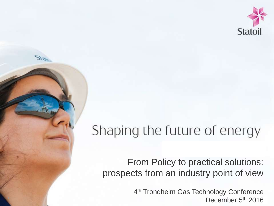

# Shaping the future of energy

#### From Policy to practical solutions: prospects from an industry point of view

4 th Trondheim Gas Technology Conference December 5<sup>th</sup> 2016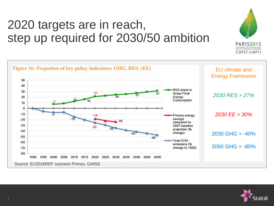## 2020 targets are in reach, step up required for 2030/50 ambition





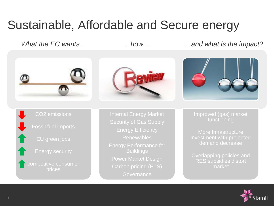### Sustainable, Affordable and Secure energy

*What the EC wants... ...how.... ...and what is the impact?*



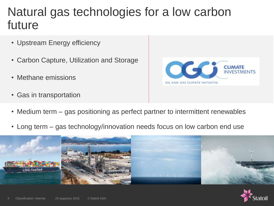#### Natural gas technologies for a low carbon future

- Upstream Energy efficiency
- Carbon Capture, Utilization and Storage
- Methane emissions
- Gas in transportation



- Medium term gas positioning as perfect partner to intermittent renewables
- Long term gas technology/innovation needs focus on low carbon end use